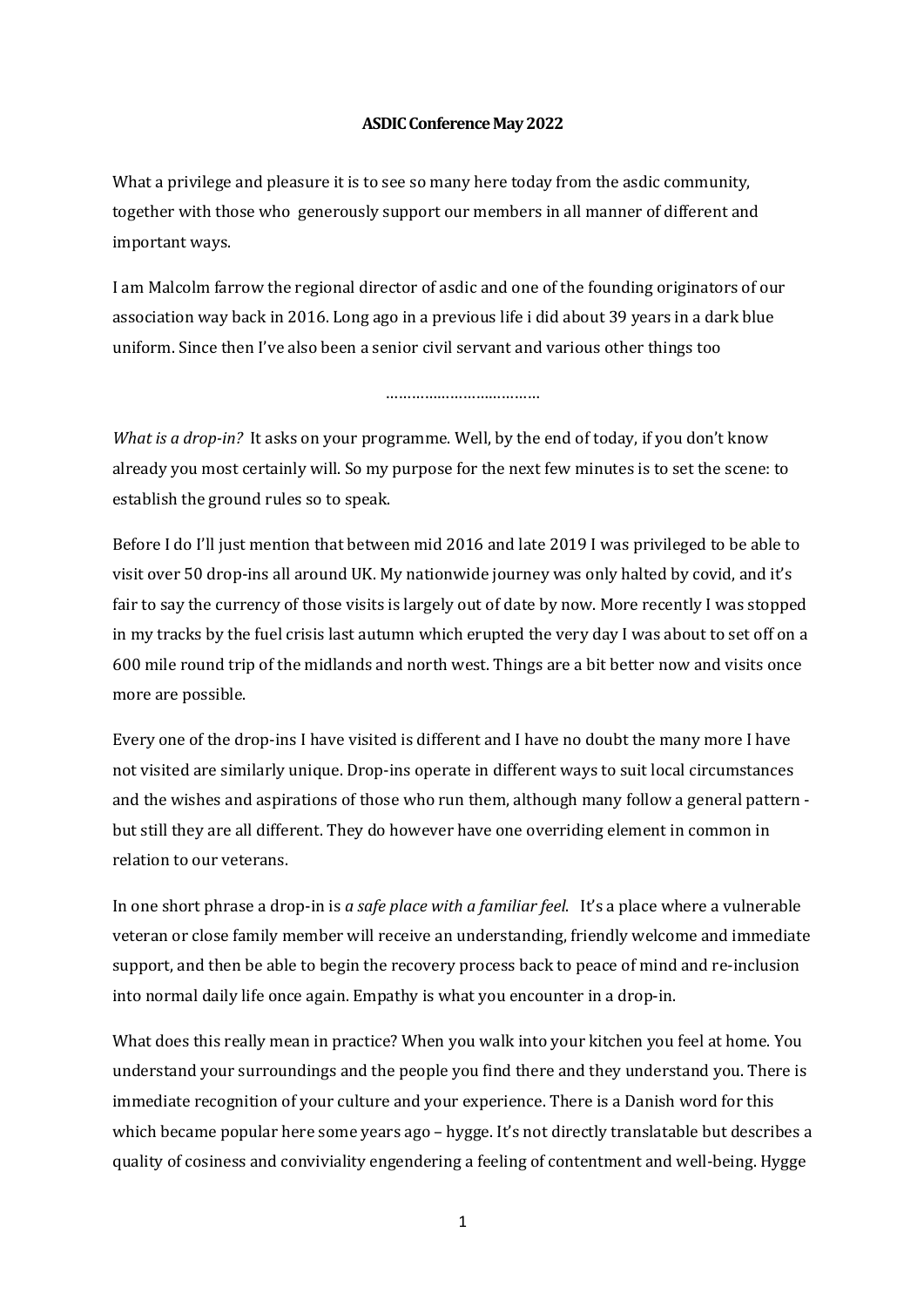## **ASDIC Conference May 2022**

What a privilege and pleasure it is to see so many here today from the asdic community, together with those who generously support our members in all manner of different and important ways.

I am Malcolm farrow the regional director of asdic and one of the founding originators of our association way back in 2016. Long ago in a previous life i did about 39 years in a dark blue uniform. Since then I've also been a senior civil servant and various other things too

## ……………………………………

*What is a drop-in?* It asks on your programme. Well, by the end of today, if you don't know already you most certainly will. So my purpose for the next few minutes is to set the scene: to establish the ground rules so to speak.

Before I do I'll just mention that between mid 2016 and late 2019 I was privileged to be able to visit over 50 drop-ins all around UK. My nationwide journey was only halted by covid, and it's fair to say the currency of those visits is largely out of date by now. More recently I was stopped in my tracks by the fuel crisis last autumn which erupted the very day I was about to set off on a 600 mile round trip of the midlands and north west. Things are a bit better now and visits once more are possible.

Every one of the drop-ins I have visited is different and I have no doubt the many more I have not visited are similarly unique. Drop-ins operate in different ways to suit local circumstances and the wishes and aspirations of those who run them, although many follow a general pattern but still they are all different. They do however have one overriding element in common in relation to our veterans.

In one short phrase a drop-in is *a safe place with a familiar feel*. It's a place where a vulnerable veteran or close family member will receive an understanding, friendly welcome and immediate support, and then be able to begin the recovery process back to peace of mind and re-inclusion into normal daily life once again. Empathy is what you encounter in a drop-in.

What does this really mean in practice? When you walk into your kitchen you feel at home. You understand your surroundings and the people you find there and they understand you. There is immediate recognition of your culture and your experience. There is a Danish word for this which became popular here some years  $ago - hygge.$  It's not directly translatable but describes a quality of cosiness and conviviality engendering a feeling of contentment and well-being. Hygge

1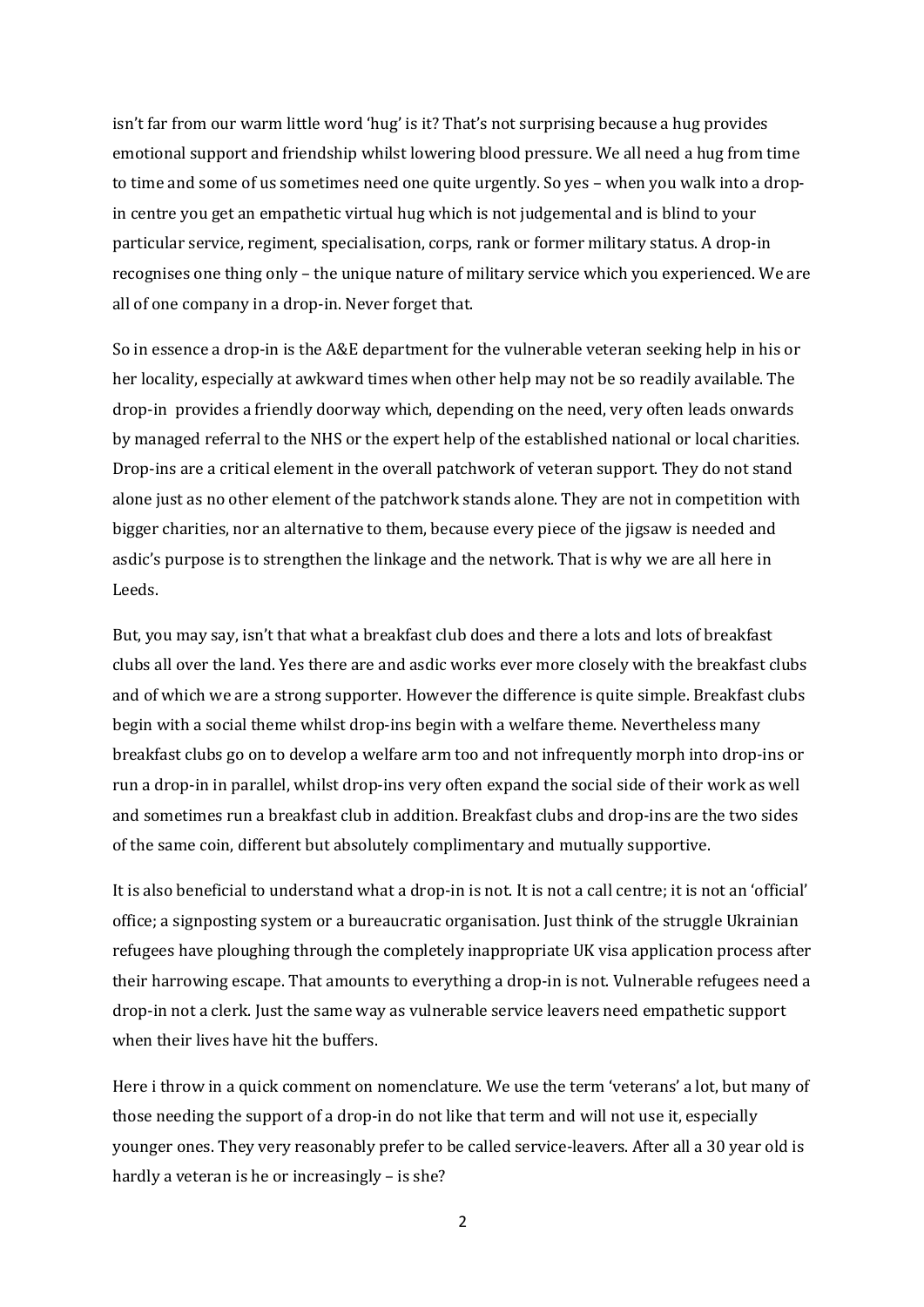isn't far from our warm little word 'hug' is it? That's not surprising because a hug provides emotional support and friendship whilst lowering blood pressure. We all need a hug from time to time and some of us sometimes need one quite urgently. So yes – when you walk into a dropin centre you get an empathetic virtual hug which is not judgemental and is blind to your particular service, regiment, specialisation, corps, rank or former military status. A drop-in recognises one thing only – the unique nature of military service which you experienced. We are all of one company in a drop-in. Never forget that.

So in essence a drop-in is the A&E department for the vulnerable veteran seeking help in his or her locality, especially at awkward times when other help may not be so readily available. The drop-in provides a friendly doorway which, depending on the need, very often leads onwards by managed referral to the NHS or the expert help of the established national or local charities. Drop-ins are a critical element in the overall patchwork of veteran support. They do not stand alone just as no other element of the patchwork stands alone. They are not in competition with bigger charities, nor an alternative to them, because every piece of the jigsaw is needed and asdic's purpose is to strengthen the linkage and the network. That is why we are all here in Leeds. 

But, you may say, isn't that what a breakfast club does and there a lots and lots of breakfast clubs all over the land. Yes there are and asdic works ever more closely with the breakfast clubs and of which we are a strong supporter. However the difference is quite simple. Breakfast clubs begin with a social theme whilst drop-ins begin with a welfare theme. Nevertheless many breakfast clubs go on to develop a welfare arm too and not infrequently morph into drop-ins or run a drop-in in parallel, whilst drop-ins very often expand the social side of their work as well and sometimes run a breakfast club in addition. Breakfast clubs and drop-ins are the two sides of the same coin, different but absolutely complimentary and mutually supportive.

It is also beneficial to understand what a drop-in is not. It is not a call centre; it is not an 'official' office; a signposting system or a bureaucratic organisation. Just think of the struggle Ukrainian refugees have ploughing through the completely inappropriate UK visa application process after their harrowing escape. That amounts to everything a drop-in is not. Vulnerable refugees need a drop-in not a clerk. Just the same way as vulnerable service leavers need empathetic support when their lives have hit the buffers.

Here i throw in a quick comment on nomenclature. We use the term 'veterans' a lot, but many of those needing the support of a drop-in do not like that term and will not use it, especially younger ones. They very reasonably prefer to be called service-leavers. After all a 30 year old is hardly a veteran is he or increasingly  $-$  is she?

2